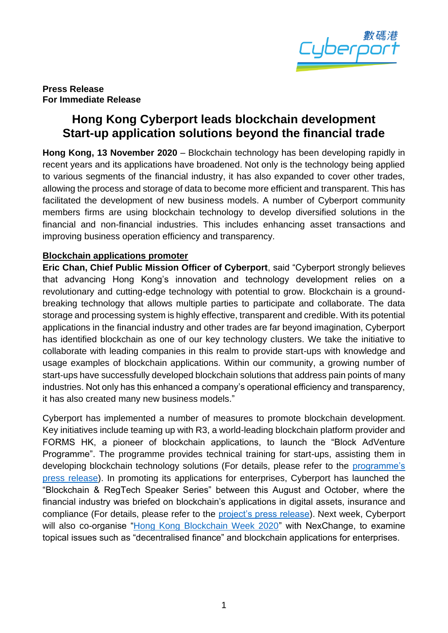

**Press Release For Immediate Release**

# **Hong Kong Cyberport leads blockchain development Start-up application solutions beyond the financial trade**

**Hong Kong, 13 November 2020** – Blockchain technology has been developing rapidly in recent years and its applications have broadened. Not only is the technology being applied to various segments of the financial industry, it has also expanded to cover other trades, allowing the process and storage of data to become more efficient and transparent. This has facilitated the development of new business models. A number of Cyberport community members firms are using blockchain technology to develop diversified solutions in the financial and non-financial industries. This includes enhancing asset transactions and improving business operation efficiency and transparency.

#### **Blockchain applications promoter**

**Eric Chan, Chief Public Mission Officer of Cyberport**, said "Cyberport strongly believes that advancing Hong Kong's innovation and technology development relies on a revolutionary and cutting-edge technology with potential to grow. Blockchain is a groundbreaking technology that allows multiple parties to participate and collaborate. The data storage and processing system is highly effective, transparent and credible. With its potential applications in the financial industry and other trades are far beyond imagination, Cyberport has identified blockchain as one of our key technology clusters. We take the initiative to collaborate with leading companies in this realm to provide start-ups with knowledge and usage examples of blockchain applications. Within our community, a growing number of start-ups have successfully developed blockchain solutions that address pain points of many industries. Not only has this enhanced a company's operational efficiency and transparency, it has also created many new business models."

Cyberport has implemented a number of measures to promote blockchain development. Key initiatives include teaming up with R3, a world-leading blockchain platform provider and FORMS HK, a pioneer of blockchain applications, to launch the "Block AdVenture Programme". The programme provides technical training for start-ups, assisting them in developing blockchain technology solutions (For details, please refer to the [programme's](http://www.cyberport.hk/files/5f9144d050773659998256/20201022_press_tc.pdf)  [press release\)](http://www.cyberport.hk/files/5f9144d050773659998256/20201022_press_tc.pdf). In promoting its applications for enterprises, Cyberport has launched the "Blockchain & RegTech Speaker Series" between this August and October, where the financial industry was briefed on blockchain's applications in digital assets, insurance and compliance (For details, please refer to the [project's press release\)](http://www.cyberport.hk/files/5f34cc80c247c776889808/20200813_press_eng_v2.pdf). Next week, Cyberport will also co-organise ["Hong Kong Blockchain Week 2020"](https://www.hkblockchainweek.net/) with NexChange, to examine topical issues such as "decentralised finance" and blockchain applications for enterprises.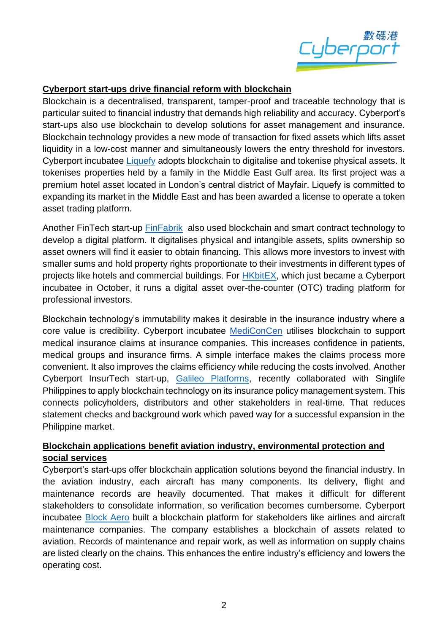

### **Cyberport start-ups drive financial reform with blockchain**

Blockchain is a decentralised, transparent, tamper-proof and traceable technology that is particular suited to financial industry that demands high reliability and accuracy. Cyberport's start-ups also use blockchain to develop solutions for asset management and insurance. Blockchain technology provides a new mode of transaction for fixed assets which lifts asset liquidity in a low-cost manner and simultaneously lowers the entry threshold for investors. Cyberport incubatee [Liquefy](https://www.liquefy.com/) adopts blockchain to digitalise and tokenise physical assets. It tokenises properties held by a family in the Middle East Gulf area. Its first project was a premium hotel asset located in London's central district of Mayfair. Liquefy is committed to expanding its market in the Middle East and has been awarded a license to operate a token asset trading platform.

Another FinTech start-up [FinFabrik](https://www.finfabrik.com/) also used blockchain and smart contract technology to develop a digital platform. It digitalises physical and intangible assets, splits ownership so asset owners will find it easier to obtain financing. This allows more investors to invest with smaller sums and hold property rights proportionate to their investments in different types of projects like hotels and commercial buildings. For [HKbitEX,](https://www.hkbitex.com.hk/) which just became a Cyberport incubatee in October, it runs a digital asset over-the-counter (OTC) trading platform for professional investors.

Blockchain technology's immutability makes it desirable in the insurance industry where a core value is credibility. Cyberport incubatee [MediConCen](https://mediconcen.com/index.html) utilises blockchain to support medical insurance claims at insurance companies. This increases confidence in patients, medical groups and insurance firms. A simple interface makes the claims process more convenient. It also improves the claims efficiency while reducing the costs involved. Another Cyberport InsurTech start-up, [Galileo Platforms,](https://www.galileoplatforms.com/) recently collaborated with Singlife Philippines to apply blockchain technology on its insurance policy management system. This connects policyholders, distributors and other stakeholders in real-time. That reduces statement checks and background work which paved way for a successful expansion in the Philippine market.

### **Blockchain applications benefit aviation industry, environmental protection and social services**

Cyberport's start-ups offer blockchain application solutions beyond the financial industry. In the aviation industry, each aircraft has many components. Its delivery, flight and maintenance records are heavily documented. That makes it difficult for different stakeholders to consolidate information, so verification becomes cumbersome. Cyberport incubatee [Block Aero](https://block.aero/) built a blockchain platform for stakeholders like airlines and aircraft maintenance companies. The company establishes a blockchain of assets related to aviation. Records of maintenance and repair work, as well as information on supply chains are listed clearly on the chains. This enhances the entire industry's efficiency and lowers the operating cost.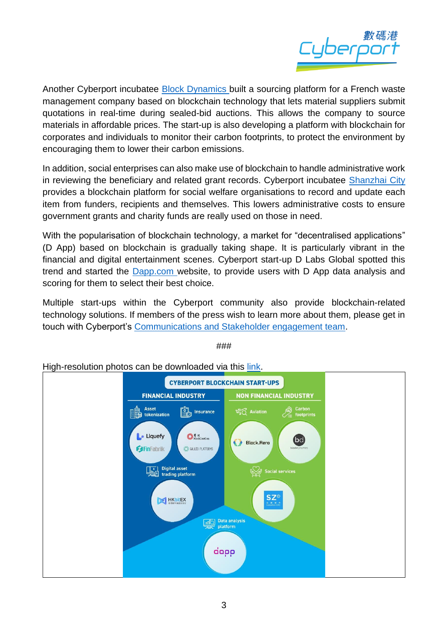

Another Cyberport incubatee [Block Dynamics](https://www.blockdynamics.io/) built a sourcing platform for a French waste management company based on blockchain technology that lets material suppliers submit quotations in real-time during sealed-bid auctions. This allows the company to source materials in affordable prices. The start-up is also developing a platform with blockchain for corporates and individuals to monitor their carbon footprints, to protect the environment by encouraging them to lower their carbon emissions.

In addition, social enterprises can also make use of blockchain to handle administrative work in reviewing the beneficiary and related grant records. Cyberport incubatee [Shanzhai](https://www.shanzhai.city/) City provides a blockchain platform for social welfare organisations to record and update each item from funders, recipients and themselves. This lowers administrative costs to ensure government grants and charity funds are really used on those in need.

With the popularisation of blockchain technology, a market for "decentralised applications" (D App) based on blockchain is gradually taking shape. It is particularly vibrant in the financial and digital entertainment scenes. Cyberport start-up D Labs Global spotted this trend and started the [Dapp.com](https://www.dapp.com/) website, to provide users with D App data analysis and scoring for them to select their best choice.

Multiple start-ups within the Cyberport community also provide blockchain-related technology solutions. If members of the press wish to learn more about them, please get in touch with Cyberport's [Communications and Stakeholder engagement team.](mailto:media@cyberport.hk)



###

High-resolution photos can be downloaded via this [link.](https://drive.google.com/drive/folders/1LYeXrbupyvQd2w1d4aYZBw5eGg9q2cPz?usp=sharing)